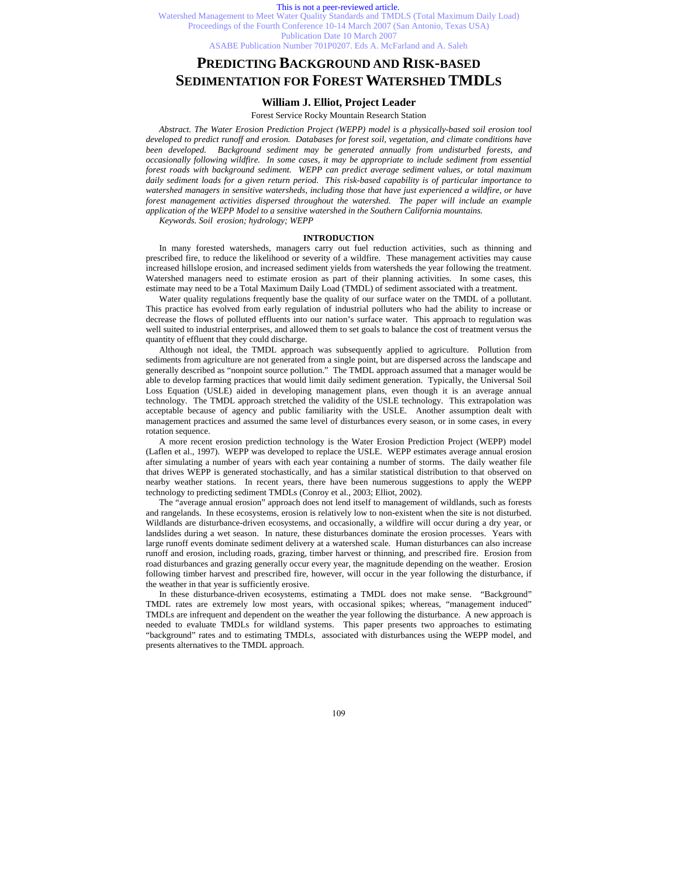### This is not a peer-reviewed article.

Watershed Management to Meet Water Quality Standards and TMDLS (Total Maximum Daily Load) Proceedings of the Fourth Conference 10-14 March 2007 (San Antonio, Texas USA) Publication Date 10 March 2007 ASABE Publication Number 701P0207. Eds A. McFarland and A. Saleh

# **PREDICTING BACKGROUND AND RISK-BASED SEDIMENTATION FOR FOREST WATERSHED TMDLS**

# **William J. Elliot, Project Leader**

#### Forest Service Rocky Mountain Research Station

*Abstract. The Water Erosion Prediction Project (WEPP) model is a physically-based soil erosion tool developed to predict runoff and erosion. Databases for forest soil, vegetation, and climate conditions have been developed. Background sediment may be generated annually from undisturbed forests, and occasionally following wildfire. In some cases, it may be appropriate to include sediment from essential forest roads with background sediment. WEPP can predict average sediment values, or total maximum daily sediment loads for a given return period. This risk-based capability is of particular importance to watershed managers in sensitive watersheds, including those that have just experienced a wildfire, or have*  forest management activities dispersed throughout the watershed. The paper will include an example *application of the WEPP Model to a sensitive watershed in the Southern California mountains.* 

*Keywords. Soil erosion; hydrology; WEPP* 

# **INTRODUCTION**

In many forested watersheds, managers carry out fuel reduction activities, such as thinning and prescribed fire, to reduce the likelihood or severity of a wildfire. These management activities may cause increased hillslope erosion, and increased sediment yields from watersheds the year following the treatment. Watershed managers need to estimate erosion as part of their planning activities. In some cases, this estimate may need to be a Total Maximum Daily Load (TMDL) of sediment associated with a treatment.

Water quality regulations frequently base the quality of our surface water on the TMDL of a pollutant. This practice has evolved from early regulation of industrial polluters who had the ability to increase or decrease the flows of polluted effluents into our nation's surface water. This approach to regulation was well suited to industrial enterprises, and allowed them to set goals to balance the cost of treatment versus the quantity of effluent that they could discharge.

Although not ideal, the TMDL approach was subsequently applied to agriculture. Pollution from sediments from agriculture are not generated from a single point, but are dispersed across the landscape and generally described as "nonpoint source pollution." The TMDL approach assumed that a manager would be able to develop farming practices that would limit daily sediment generation. Typically, the Universal Soil Loss Equation (USLE) aided in developing management plans, even though it is an average annual technology. The TMDL approach stretched the validity of the USLE technology. This extrapolation was acceptable because of agency and public familiarity with the USLE. Another assumption dealt with management practices and assumed the same level of disturbances every season, or in some cases, in every rotation sequence.

A more recent erosion prediction technology is the Water Erosion Prediction Project (WEPP) model (Laflen et al., 1997). WEPP was developed to replace the USLE. WEPP estimates average annual erosion after simulating a number of years with each year containing a number of storms. The daily weather file that drives WEPP is generated stochastically, and has a similar statistical distribution to that observed on nearby weather stations. In recent years, there have been numerous suggestions to apply the WEPP technology to predicting sediment TMDLs (Conroy et al., 2003; Elliot, 2002).

The "average annual erosion" approach does not lend itself to management of wildlands, such as forests and rangelands. In these ecosystems, erosion is relatively low to non-existent when the site is not disturbed. Wildlands are disturbance-driven ecosystems, and occasionally, a wildfire will occur during a dry year, or landslides during a wet season. In nature, these disturbances dominate the erosion processes. Years with large runoff events dominate sediment delivery at a watershed scale. Human disturbances can also increase runoff and erosion, including roads, grazing, timber harvest or thinning, and prescribed fire. Erosion from road disturbances and grazing generally occur every year, the magnitude depending on the weather. Erosion following timber harvest and prescribed fire, however, will occur in the year following the disturbance, if the weather in that year is sufficiently erosive.

In these disturbance-driven ecosystems, estimating a TMDL does not make sense. "Background" TMDL rates are extremely low most years, with occasional spikes; whereas, "management induced" TMDLs are infrequent and dependent on the weather the year following the disturbance. A new approach is needed to evaluate TMDLs for wildland systems. This paper presents two approaches to estimating "background" rates and to estimating TMDLs, associated with disturbances using the WEPP model, and presents alternatives to the TMDL approach.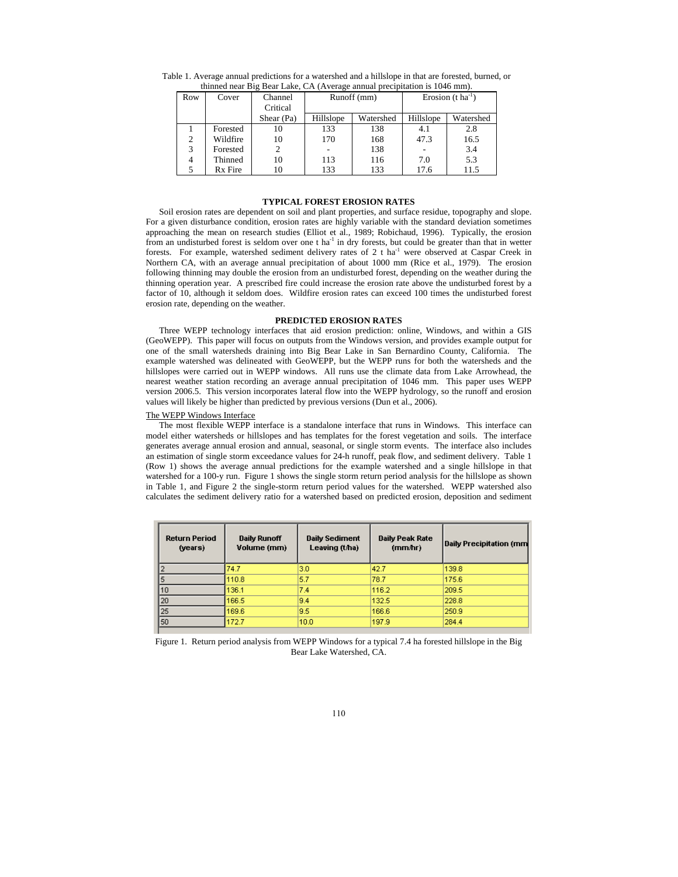| uning near Dig Dear Lake, CA (Average annual precipitation is T040 min). |          |                     |             |           |                               |           |  |
|--------------------------------------------------------------------------|----------|---------------------|-------------|-----------|-------------------------------|-----------|--|
| Row                                                                      | Cover    | Channel<br>Critical | Runoff (mm) |           | Erosion $(t \text{ ha}^{-1})$ |           |  |
|                                                                          |          | Shear (Pa)          | Hillslope   | Watershed | Hillslope                     | Watershed |  |
|                                                                          | Forested | 10                  | 133         | 138       | 4.1                           | 2.8       |  |
| 2                                                                        | Wildfire | 10                  | 170         | 168       | 47.3                          | 16.5      |  |
| 3                                                                        | Forested | 2                   |             | 138       |                               | 3.4       |  |
| 4                                                                        | Thinned  | 10                  | 113         | 116       | 7.0                           | 5.3       |  |
| 5.                                                                       | Rx Fire  | 10                  | 133         | 133       | 17.6                          | 11.5      |  |

Table 1. Average annual predictions for a watershed and a hillslope in that are forested, burned, or thinned near Big Bear Lake, CA (Average annual precipitation is 1046 mm).

# **TYPICAL FOREST EROSION RATES**

Soil erosion rates are dependent on soil and plant properties, and surface residue, topography and slope. For a given disturbance condition, erosion rates are highly variable with the standard deviation sometimes approaching the mean on research studies (Elliot et al., 1989; Robichaud, 1996). Typically, the erosion from an undisturbed forest is seldom over one t ha<sup>-1</sup> in dry forests, but could be greater than that in wetter forests. For example, watershed sediment delivery rates of 2 t ha<sup>-1</sup> were observed at Caspar Creek in Northern CA, with an average annual precipitation of about 1000 mm (Rice et al., 1979). The erosion following thinning may double the erosion from an undisturbed forest, depending on the weather during the thinning operation year. A prescribed fire could increase the erosion rate above the undisturbed forest by a factor of 10, although it seldom does. Wildfire erosion rates can exceed 100 times the undisturbed forest erosion rate, depending on the weather.

# **PREDICTED EROSION RATES**

Three WEPP technology interfaces that aid erosion prediction: online, Windows, and within a GIS (GeoWEPP). This paper will focus on outputs from the Windows version, and provides example output for one of the small watersheds draining into Big Bear Lake in San Bernardino County, California. The example watershed was delineated with GeoWEPP, but the WEPP runs for both the watersheds and the hillslopes were carried out in WEPP windows. All runs use the climate data from Lake Arrowhead, the nearest weather station recording an average annual precipitation of 1046 mm. This paper uses WEPP version 2006.5. This version incorporates lateral flow into the WEPP hydrology, so the runoff and erosion values will likely be higher than predicted by previous versions (Dun et al., 2006).

# The WEPP Windows Interface

The most flexible WEPP interface is a standalone interface that runs in Windows. This interface can model either watersheds or hillslopes and has templates for the forest vegetation and soils. The interface generates average annual erosion and annual, seasonal, or single storm events. The interface also includes an estimation of single storm exceedance values for 24-h runoff, peak flow, and sediment delivery. Table 1 (Row 1) shows the average annual predictions for the example watershed and a single hillslope in that watershed for a 100-y run. Figure 1 shows the single storm return period analysis for the hillslope as shown in Table 1, and Figure 2 the single-storm return period values for the watershed. WEPP watershed also calculates the sediment delivery ratio for a watershed based on predicted erosion, deposition and sediment

| <b>Return Period</b><br>(years) | <b>Daily Runoff</b><br>Volume (mm) | <b>Daily Sediment</b><br>Leaving (t/ha) | <b>Daily Peak Rate</b><br>(mm/hr) | Daily Precipitation (mm |
|---------------------------------|------------------------------------|-----------------------------------------|-----------------------------------|-------------------------|
|                                 | 74.7                               | 3.0                                     | 42.7                              | 139.8                   |
|                                 | 10.8                               | 5.7                                     | 78.7                              | 175.6                   |
| 10                              | 136.1                              | 7.4                                     | 116.2                             | 209.5                   |
| 20                              | 166.5                              | 9.4                                     | 132.5                             | 228.8                   |
| 25                              | 169.6                              | 9.5                                     | 166.6                             | 250.9                   |
| 50                              | 172.7                              | 10.0                                    | 197.9                             | 284.4                   |

Figure 1. Return period analysis from WEPP Windows for a typical 7.4 ha forested hillslope in the Big Bear Lake Watershed, CA.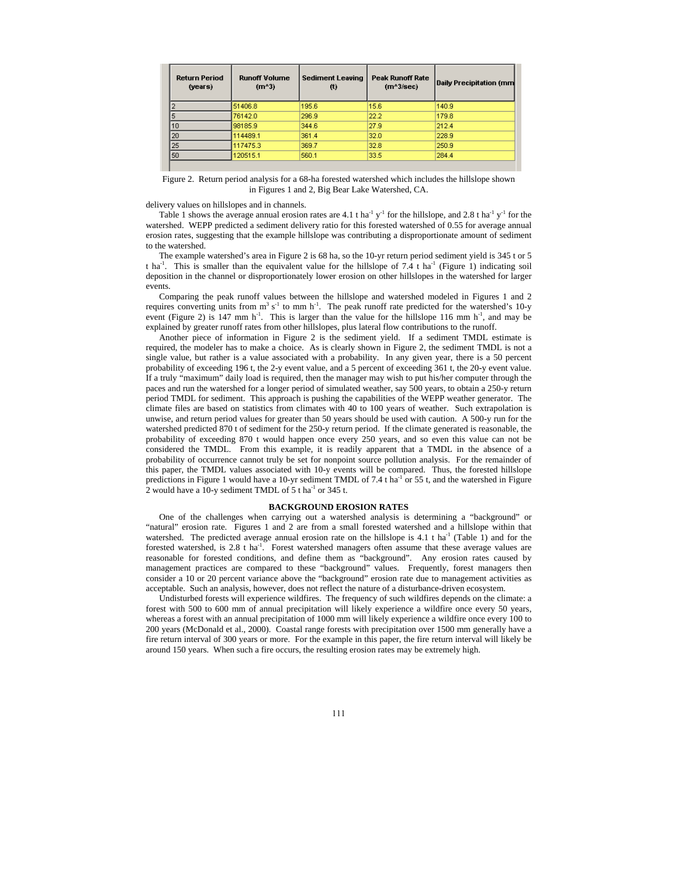| <b>Return Period</b><br>(years) | <b>Runoff Volume</b><br>$(m^43)$ | <b>Sediment Leaving</b><br>ω | <b>Peak Runoff Rate</b><br>$(m^43/\text{sec})$ | Daily Precipitation (mm |
|---------------------------------|----------------------------------|------------------------------|------------------------------------------------|-------------------------|
|                                 | 51406.8                          | 195.6                        | 15.6                                           | 140.9                   |
|                                 | 76142.0                          | 296.9                        | 22.2                                           | 179.8                   |
| 10                              | 98185.9                          | 344.6                        | 27.9                                           | 212.4                   |
| 20                              | 114489.1                         | 361.4                        | 32.0                                           | 228.9                   |
| 25                              | 117475.3                         | 369.7                        | 32.8                                           | 250.9                   |
| 50                              | 120515.1                         | 560.1                        | 33.5                                           | 284.4                   |

Figure 2. Return period analysis for a 68-ha forested watershed which includes the hillslope shown in Figures 1 and 2, Big Bear Lake Watershed, CA.

delivery values on hillslopes and in channels.

Table 1 shows the average annual erosion rates are 4.1 t ha<sup>-1</sup> y<sup>-1</sup> for the hillslope, and 2.8 t ha<sup>-1</sup> y<sup>-1</sup> for the watershed. WEPP predicted a sediment delivery ratio for this forested watershed of 0.55 for average annual erosion rates, suggesting that the example hillslope was contributing a disproportionate amount of sediment to the watershed.

The example watershed's area in Figure 2 is 68 ha, so the 10-yr return period sediment yield is 345 t or 5 t ha<sup>-1</sup>. This is smaller than the equivalent value for the hillslope of 7.4 t ha<sup>-1</sup> (Figure 1) indicating soil deposition in the channel or disproportionately lower erosion on other hillslopes in the watershed for larger events.

Comparing the peak runoff values between the hillslope and watershed modeled in Figures 1 and 2 requires converting units from  $m^3 s^{-1}$  to mm h<sup>-1</sup>. The peak runoff rate predicted for the watershed's 10-y event (Figure 2) is 147 mm  $h^{-1}$ . This is larger than the value for the hillslope 116 mm  $h^{-1}$ , and may be explained by greater runoff rates from other hillslopes, plus lateral flow contributions to the runoff.

Another piece of information in Figure 2 is the sediment yield. If a sediment TMDL estimate is required, the modeler has to make a choice. As is clearly shown in Figure 2, the sediment TMDL is not a single value, but rather is a value associated with a probability. In any given year, there is a 50 percent probability of exceeding 196 t, the 2-y event value, and a 5 percent of exceeding 361 t, the 20-y event value. If a truly "maximum" daily load is required, then the manager may wish to put his/her computer through the paces and run the watershed for a longer period of simulated weather, say 500 years, to obtain a 250-y return period TMDL for sediment. This approach is pushing the capabilities of the WEPP weather generator. The climate files are based on statistics from climates with 40 to 100 years of weather. Such extrapolation is unwise, and return period values for greater than 50 years should be used with caution. A 500-y run for the watershed predicted 870 t of sediment for the 250-y return period. If the climate generated is reasonable, the probability of exceeding 870 t would happen once every 250 years, and so even this value can not be considered the TMDL. From this example, it is readily apparent that a TMDL in the absence of a probability of occurrence cannot truly be set for nonpoint source pollution analysis. For the remainder of this paper, the TMDL values associated with 10-y events will be compared. Thus, the forested hillslope predictions in Figure 1 would have a 10-yr sediment TMDL of 7.4 t ha<sup>-1</sup> or 55 t, and the watershed in Figure 2 would have a 10-y sediment TMDL of 5 t ha<sup>-1</sup> or 345 t.

### **BACKGROUND EROSION RATES**

One of the challenges when carrying out a watershed analysis is determining a "background" or "natural" erosion rate. Figures 1 and 2 are from a small forested watershed and a hillslope within that watershed. The predicted average annual erosion rate on the hillslope is 4.1 t ha<sup>-1</sup> (Table 1) and for the forested watershed, is 2.8 t ha<sup>-1</sup>. Forest watershed managers often assume that these average values are reasonable for forested conditions, and define them as "background". Any erosion rates caused by management practices are compared to these "background" values. Frequently, forest managers then consider a 10 or 20 percent variance above the "background" erosion rate due to management activities as acceptable. Such an analysis, however, does not reflect the nature of a disturbance-driven ecosystem.

Undisturbed forests will experience wildfires. The frequency of such wildfires depends on the climate: a forest with 500 to 600 mm of annual precipitation will likely experience a wildfire once every 50 years, whereas a forest with an annual precipitation of 1000 mm will likely experience a wildfire once every 100 to 200 years (McDonald et al., 2000). Coastal range forests with precipitation over 1500 mm generally have a fire return interval of 300 years or more. For the example in this paper, the fire return interval will likely be around 150 years. When such a fire occurs, the resulting erosion rates may be extremely high.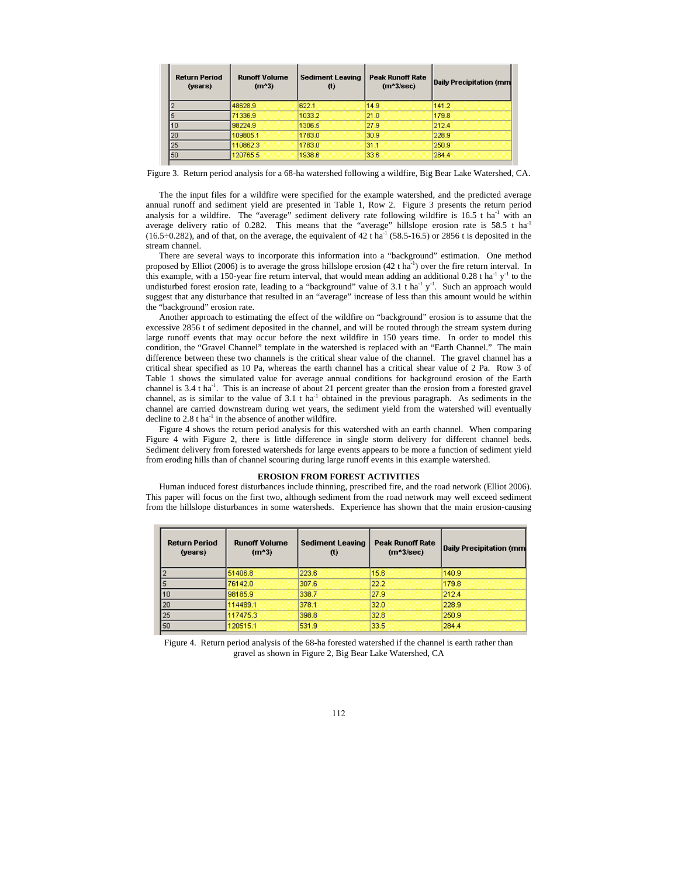| <b>Return Period</b><br>(years) | <b>Runoff Volume</b><br>$(m^43)$ | <b>Sediment Leaving</b><br>(t) | <b>Peak Runoff Rate</b><br>$(m^3/\text{sec})$ | Daily Precipitation (mm |
|---------------------------------|----------------------------------|--------------------------------|-----------------------------------------------|-------------------------|
|                                 | 48628.9                          | 622.1                          | 14.9                                          | 141.2                   |
|                                 | 71336.9                          | 1033.2                         | 21.0                                          | 179.8                   |
| 10                              | 98224.9                          | 1306.5                         | 27.9                                          | 212.4                   |
| 20                              | 109805.1                         | 1783.0                         | 30.9                                          | 228.9                   |
| 25                              | 110862.3                         | 1783.0                         | 31.1                                          | 250.9                   |
| 50                              | 120765.5                         | 1938.6                         | 33.6                                          | 284.4                   |

Figure 3. Return period analysis for a 68-ha watershed following a wildfire, Big Bear Lake Watershed, CA.

The the input files for a wildfire were specified for the example watershed, and the predicted average annual runoff and sediment yield are presented in Table 1, Row 2. Figure 3 presents the return period analysis for a wildfire. The "average" sediment delivery rate following wildfire is  $16.5$  t ha<sup>-1</sup> with an average delivery ratio of 0.282. This means that the "average" hillslope erosion rate is 58.5 t ha<sup>-1</sup>  $(16.5\div0.282)$ , and of that, on the average, the equivalent of 42 t ha<sup>-1</sup> (58.5-16.5) or 2856 t is deposited in the stream channel.

There are several ways to incorporate this information into a "background" estimation. One method proposed by Elliot (2006) is to average the gross hillslope erosion (42 t ha<sup>-1</sup>) over the fire return interval. In this example, with a 150-year fire return interval, that would mean adding an additional 0.28 t ha<sup>-1</sup> y<sup>-1</sup> to the undisturbed forest erosion rate, leading to a "background" value of 3.1 t ha<sup>-1</sup> y<sup>-1</sup>. Such an approach would suggest that any disturbance that resulted in an "average" increase of less than this amount would be within the "background" erosion rate.

Another approach to estimating the effect of the wildfire on "background" erosion is to assume that the excessive 2856 t of sediment deposited in the channel, and will be routed through the stream system during large runoff events that may occur before the next wildfire in 150 years time. In order to model this condition, the "Gravel Channel" template in the watershed is replaced with an "Earth Channel." The main difference between these two channels is the critical shear value of the channel. The gravel channel has a critical shear specified as 10 Pa, whereas the earth channel has a critical shear value of 2 Pa. Row 3 of Table 1 shows the simulated value for average annual conditions for background erosion of the Earth channel is 3.4 t ha<sup>-1</sup>. This is an increase of about 21 percent greater than the erosion from a forested gravel channel, as is similar to the value of  $3.1 \text{ t}$  ha<sup>-1</sup> obtained in the previous paragraph. As sediments in the channel are carried downstream during wet years, the sediment yield from the watershed will eventually decline to  $2.8$  t ha<sup>-1</sup> in the absence of another wildfire.

Figure 4 shows the return period analysis for this watershed with an earth channel. When comparing Figure 4 with Figure 2, there is little difference in single storm delivery for different channel beds. Sediment delivery from forested watersheds for large events appears to be more a function of sediment yield from eroding hills than of channel scouring during large runoff events in this example watershed.

#### **EROSION FROM FOREST ACTIVITIES**

Human induced forest disturbances include thinning, prescribed fire, and the road network (Elliot 2006). This paper will focus on the first two, although sediment from the road network may well exceed sediment from the hillslope disturbances in some watersheds. Experience has shown that the main erosion-causing

| <b>Return Period</b><br>(years) | <b>Runoff Volume</b><br>$(m^43)$ | <b>Sediment Leaving</b><br>(t) | <b>Peak Runoff Rate</b><br>$(m^23/\text{sec})$ | Daily Precipitation (mm |
|---------------------------------|----------------------------------|--------------------------------|------------------------------------------------|-------------------------|
|                                 | 51406.8                          | 223.6                          | 15.6                                           | 140.9                   |
|                                 | 76142.0                          | 307.6                          | 22.2                                           | 179.8                   |
| 10                              | 98185.9                          | 338.7                          | 27.9                                           | 212.4                   |
| 20                              | 114489.1                         | 378.1                          | 32.0                                           | 228.9                   |
| 25                              | 117475.3                         | 398.8                          | 32.8                                           | 250.9                   |
| 150                             | 120515.1                         | 531.9                          | 33.5                                           | 284.4                   |

Figure 4. Return period analysis of the 68-ha forested watershed if the channel is earth rather than gravel as shown in Figure 2, Big Bear Lake Watershed, CA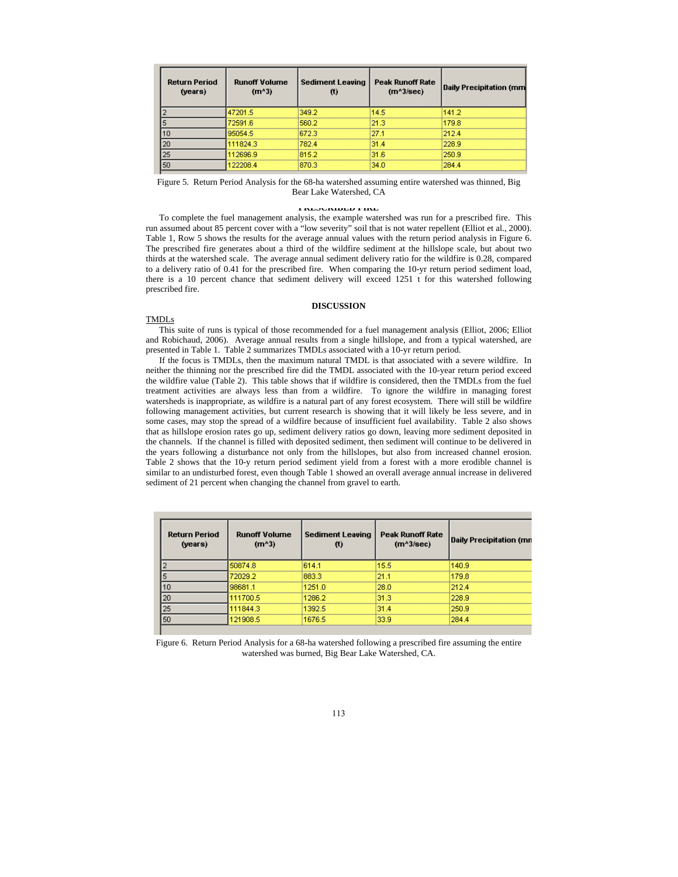| <b>Return Period</b><br>(years) | <b>Runoff Volume</b><br>$(m^43)$ | <b>Sediment Leaving</b><br>$(t)$ | <b>Peak Runoff Rate</b><br>$(m^43/\text{sec})$ | Daily Precipitation (mm |
|---------------------------------|----------------------------------|----------------------------------|------------------------------------------------|-------------------------|
|                                 | 47201.5                          | 349.2                            | 14.5                                           | 141.2                   |
|                                 | 72591.6                          | 560.2                            | 21.3                                           | 179.8                   |
| 10                              | 95054.5                          | 672.3                            | 27.1                                           | 212.4                   |
| 20                              | 111824.3                         | 782.4                            | 31.4                                           | 228.9                   |
| 25                              | 12696.9                          | 815.2                            | 31.6                                           | 250.9                   |
| 50                              | 122208.4                         | 870.3                            | 34.0                                           | 284.4                   |

# Figure 5. Return Period Analysis for the 68-ha watershed assuming entire watershed was thinned, Big events as it does not a set all average set and  $\alpha$  Bear Lake Watershed, CA

#### **PRESCRIBED FIRE**

To complete the fuel management analysis, the example watershed was run for a prescribed fire. This run assumed about 85 percent cover with a "low severity" soil that is not water repellent (Elliot et al., 2000). Table 1, Row 5 shows the results for the average annual values with the return period analysis in Figure 6. The prescribed fire generates about a third of the wildfire sediment at the hillslope scale, but about two thirds at the watershed scale. The average annual sediment delivery ratio for the wildfire is 0.28, compared to a delivery ratio of 0.41 for the prescribed fire. When comparing the 10-yr return period sediment load, there is a 10 percent chance that sediment delivery will exceed 1251 t for this watershed following prescribed fire.

# **DISCUSSION**

# TMDLs

This suite of runs is typical of those recommended for a fuel management analysis (Elliot, 2006; Elliot and Robichaud, 2006). Average annual results from a single hillslope, and from a typical watershed, are presented in Table 1. Table 2 summarizes TMDLs associated with a 10-yr return period.

If the focus is TMDLs, then the maximum natural TMDL is that associated with a severe wildfire. In neither the thinning nor the prescribed fire did the TMDL associated with the 10-year return period exceed the wildfire value (Table 2). This table shows that if wildfire is considered, then the TMDLs from the fuel treatment activities are always less than from a wildfire. To ignore the wildfire in managing forest watersheds is inappropriate, as wildfire is a natural part of any forest ecosystem. There will still be wildfire following management activities, but current research is showing that it will likely be less severe, and in some cases, may stop the spread of a wildfire because of insufficient fuel availability. Table 2 also shows that as hillslope erosion rates go up, sediment delivery ratios go down, leaving more sediment deposited in the channels. If the channel is filled with deposited sediment, then sediment will continue to be delivered in the years following a disturbance not only from the hillslopes, but also from increased channel erosion. Table 2 shows that the 10-y return period sediment yield from a forest with a more erodible channel is similar to an undisturbed forest, even though Table 1 showed an overall average annual increase in delivered sediment of 21 percent when changing the channel from gravel to earth.

| <b>Return Period</b><br>(years) | <b>Runoff Volume</b><br>$(m^43)$ | <b>Sediment Leaving</b><br>$_{(t)}$ | <b>Peak Runoff Rate</b><br>$(m^43/\text{sec})$ | Daily Precipitation (mr |
|---------------------------------|----------------------------------|-------------------------------------|------------------------------------------------|-------------------------|
|                                 | 50874.8                          | 614.1                               | 15.5                                           | 140.9                   |
|                                 | 72029.2                          | 883.3                               | 21.1                                           | 179.8                   |
| 10                              | 98681.1                          | 1251.0                              | 28.0                                           | 212.4                   |
| 20                              | 111700.5                         | 1286.2                              | 31.3                                           | 228.9                   |
| 25                              | 111844.3                         | 1392.5                              | 31.4                                           | 250.9                   |
| 50                              | 121908.5                         | 1676.5                              | 33.9                                           | 284.4                   |

Figure 6. Return Period Analysis for a 68-ha watershed following a prescribed fire assuming the entire watershed was burned, Big Bear Lake Watershed, CA.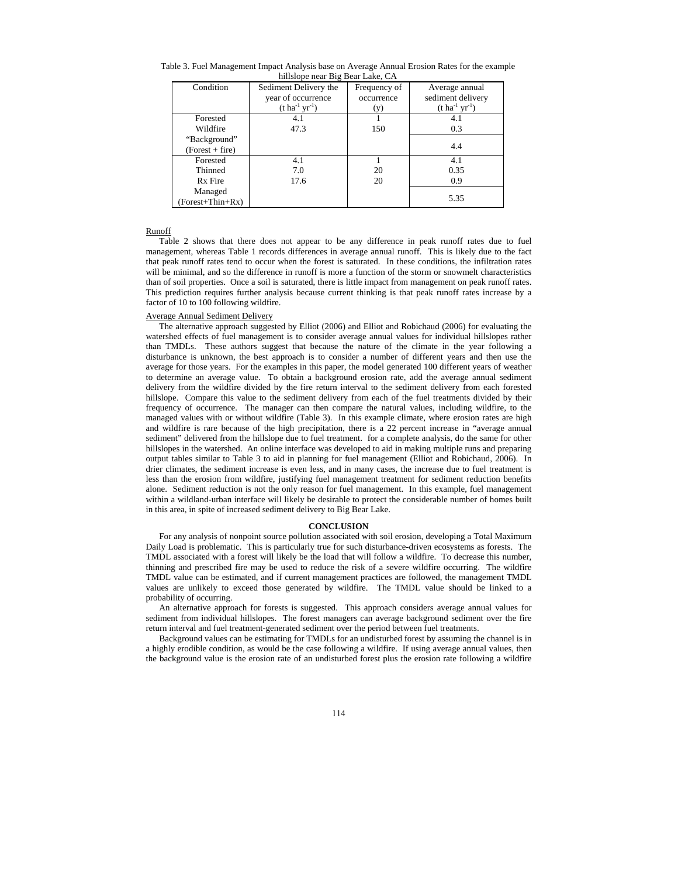| nilislope near Big Bear Lake, CA |                             |              |                             |  |  |  |  |
|----------------------------------|-----------------------------|--------------|-----------------------------|--|--|--|--|
| Condition                        | Sediment Delivery the       | Frequency of | Average annual              |  |  |  |  |
|                                  | year of occurrence          | occurrence   | sediment delivery           |  |  |  |  |
|                                  | $(t \, ha^{-1} \, yr^{-1})$ | (y)          | $(t \, ha^{-1} \, yr^{-1})$ |  |  |  |  |
| Forested                         | 4.1                         |              | 4.1                         |  |  |  |  |
| Wildfire                         | 47.3                        | 150          | 0.3                         |  |  |  |  |
| "Background"                     |                             |              |                             |  |  |  |  |
| (Forest + fire)                  |                             |              | 4.4                         |  |  |  |  |
| Forested                         | 4.1                         |              | 4.1                         |  |  |  |  |
| Thinned                          | 7.0                         | 20           | 0.35                        |  |  |  |  |
| Rx Fire                          | 17.6                        | 20           | 0.9                         |  |  |  |  |
| Managed                          |                             |              |                             |  |  |  |  |
| (Forest+Thin+Rx)                 |                             |              | 5.35                        |  |  |  |  |

Table 3. Fuel Management Impact Analysis base on Average Annual Erosion Rates for the example hillslope near Big Bear Lake, CA

### Runoff

Table 2 shows that there does not appear to be any difference in peak runoff rates due to fuel management, whereas Table 1 records differences in average annual runoff. This is likely due to the fact that peak runoff rates tend to occur when the forest is saturated. In these conditions, the infiltration rates will be minimal, and so the difference in runoff is more a function of the storm or snowmelt characteristics than of soil properties. Once a soil is saturated, there is little impact from management on peak runoff rates. This prediction requires further analysis because current thinking is that peak runoff rates increase by a factor of 10 to 100 following wildfire.

# Average Annual Sediment Delivery

The alternative approach suggested by Elliot (2006) and Elliot and Robichaud (2006) for evaluating the watershed effects of fuel management is to consider average annual values for individual hillslopes rather than TMDLs. These authors suggest that because the nature of the climate in the year following a disturbance is unknown, the best approach is to consider a number of different years and then use the average for those years. For the examples in this paper, the model generated 100 different years of weather to determine an average value. To obtain a background erosion rate, add the average annual sediment delivery from the wildfire divided by the fire return interval to the sediment delivery from each forested hillslope. Compare this value to the sediment delivery from each of the fuel treatments divided by their frequency of occurrence. The manager can then compare the natural values, including wildfire, to the managed values with or without wildfire (Table 3). In this example climate, where erosion rates are high and wildfire is rare because of the high precipitation, there is a 22 percent increase in "average annual sediment" delivered from the hillslope due to fuel treatment. for a complete analysis, do the same for other hillslopes in the watershed. An online interface was developed to aid in making multiple runs and preparing output tables similar to Table 3 to aid in planning for fuel management (Elliot and Robichaud, 2006). In drier climates, the sediment increase is even less, and in many cases, the increase due to fuel treatment is less than the erosion from wildfire, justifying fuel management treatment for sediment reduction benefits alone. Sediment reduction is not the only reason for fuel management. In this example, fuel management within a wildland-urban interface will likely be desirable to protect the considerable number of homes built in this area, in spite of increased sediment delivery to Big Bear Lake.

#### **CONCLUSION**

For any analysis of nonpoint source pollution associated with soil erosion, developing a Total Maximum Daily Load is problematic. This is particularly true for such disturbance-driven ecosystems as forests. The TMDL associated with a forest will likely be the load that will follow a wildfire. To decrease this number, thinning and prescribed fire may be used to reduce the risk of a severe wildfire occurring. The wildfire TMDL value can be estimated, and if current management practices are followed, the management TMDL values are unlikely to exceed those generated by wildfire. The TMDL value should be linked to a probability of occurring.

An alternative approach for forests is suggested. This approach considers average annual values for sediment from individual hillslopes. The forest managers can average background sediment over the fire return interval and fuel treatment-generated sediment over the period between fuel treatments.

Background values can be estimating for TMDLs for an undisturbed forest by assuming the channel is in a highly erodible condition, as would be the case following a wildfire. If using average annual values, then the background value is the erosion rate of an undisturbed forest plus the erosion rate following a wildfire